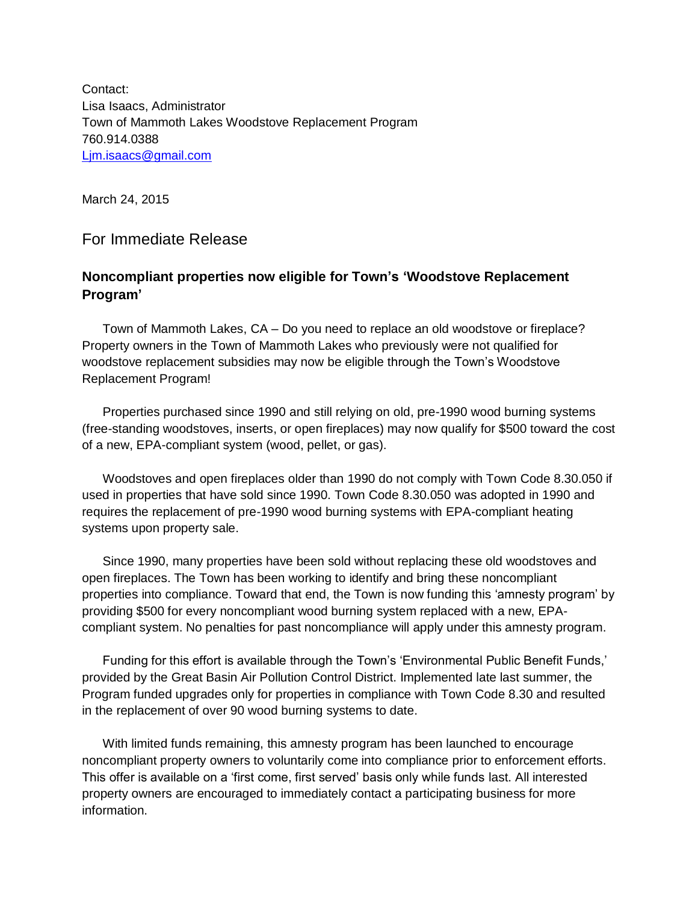Contact: Lisa Isaacs, Administrator Town of Mammoth Lakes Woodstove Replacement Program 760.914.0388 [Ljm.isaacs@gmail.com](mailto:Ljm.isaacs@gmail.com)

March 24, 2015

For Immediate Release

## **Noncompliant properties now eligible for Town's 'Woodstove Replacement Program'**

Town of Mammoth Lakes, CA – Do you need to replace an old woodstove or fireplace? Property owners in the Town of Mammoth Lakes who previously were not qualified for woodstove replacement subsidies may now be eligible through the Town's Woodstove Replacement Program!

Properties purchased since 1990 and still relying on old, pre-1990 wood burning systems (free-standing woodstoves, inserts, or open fireplaces) may now qualify for \$500 toward the cost of a new, EPA-compliant system (wood, pellet, or gas).

Woodstoves and open fireplaces older than 1990 do not comply with Town Code 8.30.050 if used in properties that have sold since 1990. Town Code 8.30.050 was adopted in 1990 and requires the replacement of pre-1990 wood burning systems with EPA-compliant heating systems upon property sale.

Since 1990, many properties have been sold without replacing these old woodstoves and open fireplaces. The Town has been working to identify and bring these noncompliant properties into compliance. Toward that end, the Town is now funding this 'amnesty program' by providing \$500 for every noncompliant wood burning system replaced with a new, EPAcompliant system. No penalties for past noncompliance will apply under this amnesty program.

Funding for this effort is available through the Town's 'Environmental Public Benefit Funds,' provided by the Great Basin Air Pollution Control District. Implemented late last summer, the Program funded upgrades only for properties in compliance with Town Code 8.30 and resulted in the replacement of over 90 wood burning systems to date.

With limited funds remaining, this amnesty program has been launched to encourage noncompliant property owners to voluntarily come into compliance prior to enforcement efforts. This offer is available on a 'first come, first served' basis only while funds last. All interested property owners are encouraged to immediately contact a participating business for more information.